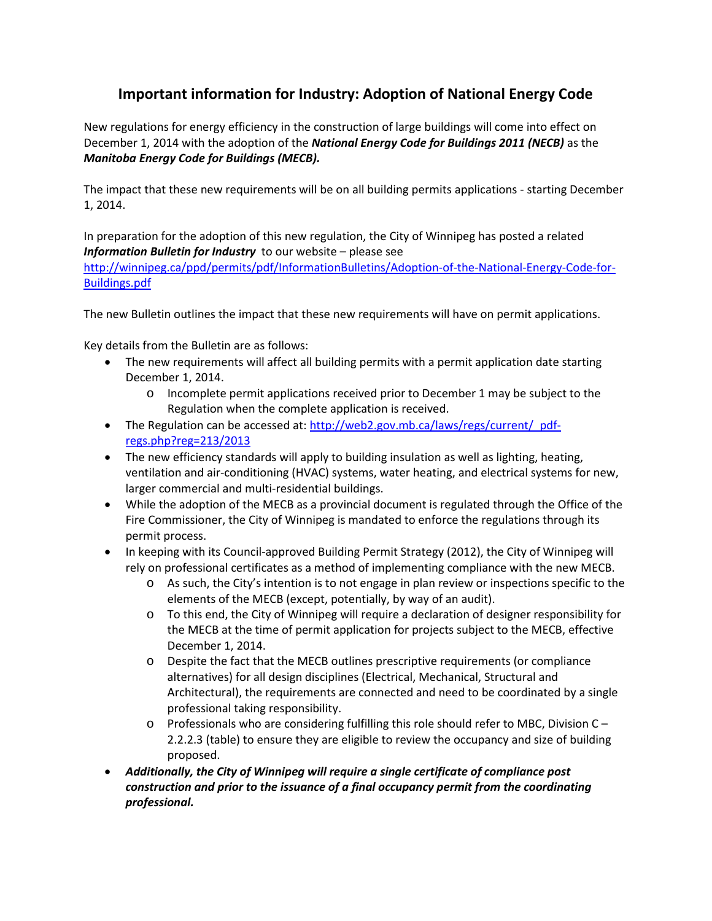## **Important information for Industry: Adoption of National Energy Code**

New regulations for energy efficiency in the construction of large buildings will come into effect on December 1, 2014 with the adoption of the *National Energy Code for Buildings 2011 (NECB)* as the *Manitoba Energy Code for Buildings (MECB).*

The impact that these new requirements will be on all building permits applications - starting December 1, 2014.

In preparation for the adoption of this new regulation, the City of Winnipeg has posted a related *Information Bulletin for Industry* to our website – please see

[http://winnipeg.ca/ppd/permits/pdf/InformationBulletins/Adoption-of-the-National-Energy-Code-for-](http://winnipeg.ca/ppd/permits/pdf/InformationBulletins/Adoption-of-the-National-Energy-Code-for-Buildings.pdf)[Buildings.pdf](http://winnipeg.ca/ppd/permits/pdf/InformationBulletins/Adoption-of-the-National-Energy-Code-for-Buildings.pdf)

The new Bulletin outlines the impact that these new requirements will have on permit applications.

Key details from the Bulletin are as follows:

- The new requirements will affect all building permits with a permit application date starting December 1, 2014.
	- o Incomplete permit applications received prior to December 1 may be subject to the Regulation when the complete application is received.
- The Regulation can be accessed at: http://web2.gov.mb.ca/laws/regs/current/ pdf[regs.php?reg=213/2013](http://web2.gov.mb.ca/laws/regs/current/_pdf-regs.php?reg=213/2013)
- The new efficiency standards will apply to building insulation as well as lighting, heating, ventilation and air-conditioning (HVAC) systems, water heating, and electrical systems for new, larger commercial and multi-residential buildings.
- While the adoption of the MECB as a provincial document is regulated through the Office of the Fire Commissioner, the City of Winnipeg is mandated to enforce the regulations through its permit process.
- In keeping with its Council-approved Building Permit Strategy (2012), the City of Winnipeg will rely on professional certificates as a method of implementing compliance with the new MECB.
	- o As such, the City's intention is to not engage in plan review or inspections specific to the elements of the MECB (except, potentially, by way of an audit).
	- o To this end, the City of Winnipeg will require a declaration of designer responsibility for the MECB at the time of permit application for projects subject to the MECB, effective December 1, 2014.
	- o Despite the fact that the MECB outlines prescriptive requirements (or compliance alternatives) for all design disciplines (Electrical, Mechanical, Structural and Architectural), the requirements are connected and need to be coordinated by a single professional taking responsibility.
	- o Professionals who are considering fulfilling this role should refer to MBC, Division C 2.2.2.3 (table) to ensure they are eligible to review the occupancy and size of building proposed.
- *Additionally, the City of Winnipeg will require a single certificate of compliance post construction and prior to the issuance of a final occupancy permit from the coordinating professional.*